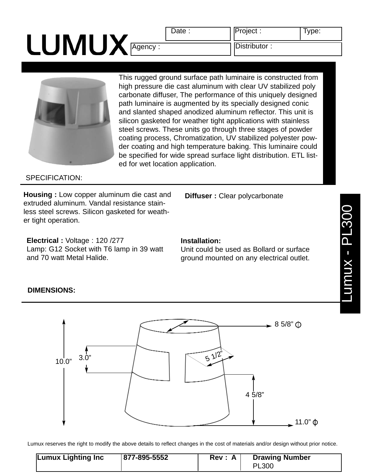# LUMUX Agency : Distributor :

Date : Project : Type:



This rugged ground surface path luminaire is constructed from high pressure die cast aluminum with clear UV stabilized poly carbonate diffuser, The performance of this uniquely designed path luminaire is augmented by its specially designed conic and slanted shaped anodized aluminum reflector. This unit is silicon gasketed for weather tight applications with stainless steel screws. These units go through three stages of powder coating process, Chromatization, UV stabilized polyester powder coating and high temperature baking. This luminaire could be specified for wide spread surface light distribution. ETL listed for wet location application.

### SPECIFICATION:

**Housing :** Low copper aluminum die cast and extruded aluminum. Vandal resistance stainless steel screws. Silicon gasketed for weather tight operation.

Lamp: G12 Socket with T6 lamp in 39 watt

**Electrical :** Voltage : 120 /277

**Installation:**

Unit could be used as Bollard or surface ground mounted on any electrical outlet.

**Diffuser :** Clear polycarbonate



Lumux reserves the right to modify the above details to reflect changes in the cost of materials and/or design without prior notice.

| 877-895-5552<br><b>Lumux Lighting Inc</b> | Rev : A | <b>Drawing Number</b><br><b>PL300</b> |  |
|-------------------------------------------|---------|---------------------------------------|--|
|-------------------------------------------|---------|---------------------------------------|--|

## **DIMENSIONS:**

and 70 watt Metal Halide.